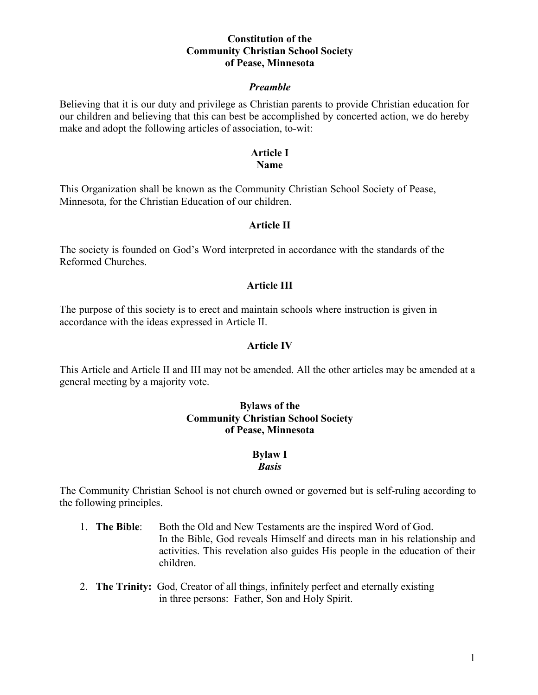#### **Constitution of the Community Christian School Society of Pease, Minnesota**

#### *Preamble*

Believing that it is our duty and privilege as Christian parents to provide Christian education for our children and believing that this can best be accomplished by concerted action, we do hereby make and adopt the following articles of association, to-wit:

#### **Article I Name**

This Organization shall be known as the Community Christian School Society of Pease, Minnesota, for the Christian Education of our children.

#### **Article II**

The society is founded on God's Word interpreted in accordance with the standards of the Reformed Churches.

#### **Article III**

The purpose of this society is to erect and maintain schools where instruction is given in accordance with the ideas expressed in Article II.

#### **Article IV**

This Article and Article II and III may not be amended. All the other articles may be amended at a general meeting by a majority vote.

#### **Bylaws of the Community Christian School Society of Pease, Minnesota**

# **Bylaw I**

#### *Basis*

The Community Christian School is not church owned or governed but is self-ruling according to the following principles.

- 1. **The Bible**: Both the Old and New Testaments are the inspired Word of God. In the Bible, God reveals Himself and directs man in his relationship and activities. This revelation also guides His people in the education of their children.
- 2. **The Trinity:** God, Creator of all things, infinitely perfect and eternally existing in three persons: Father, Son and Holy Spirit.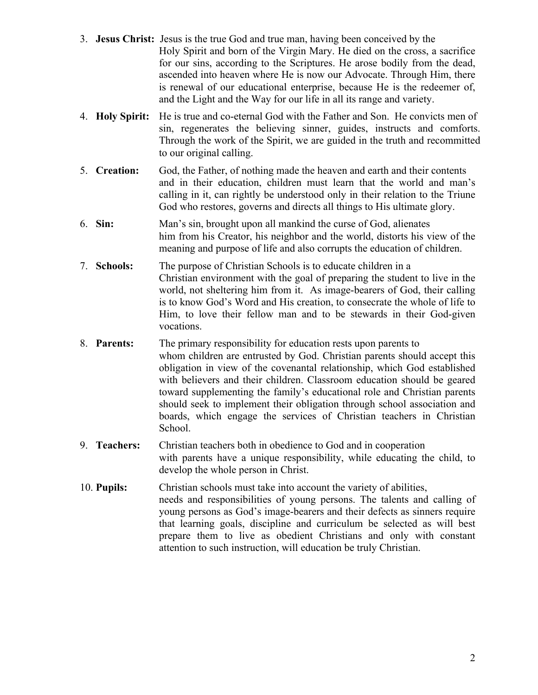- 3. **Jesus Christ:** Jesus is the true God and true man, having been conceived by the Holy Spirit and born of the Virgin Mary. He died on the cross, a sacrifice for our sins, according to the Scriptures. He arose bodily from the dead, ascended into heaven where He is now our Advocate. Through Him, there is renewal of our educational enterprise, because He is the redeemer of, and the Light and the Way for our life in all its range and variety.
- 4. **Holy Spirit:** He is true and co-eternal God with the Father and Son. He convicts men of sin, regenerates the believing sinner, guides, instructs and comforts. Through the work of the Spirit, we are guided in the truth and recommitted to our original calling.
- 5. **Creation:** God, the Father, of nothing made the heaven and earth and their contents and in their education, children must learn that the world and man's calling in it, can rightly be understood only in their relation to the Triune God who restores, governs and directs all things to His ultimate glory.
- 6. **Sin:** Man's sin, brought upon all mankind the curse of God, alienates him from his Creator, his neighbor and the world, distorts his view of the meaning and purpose of life and also corrupts the education of children.
- 7. **Schools:** The purpose of Christian Schools is to educate children in a Christian environment with the goal of preparing the student to live in the world, not sheltering him from it. As image-bearers of God, their calling is to know God's Word and His creation, to consecrate the whole of life to Him, to love their fellow man and to be stewards in their God-given vocations.
- 8. **Parents:** The primary responsibility for education rests upon parents to whom children are entrusted by God. Christian parents should accept this obligation in view of the covenantal relationship, which God established with believers and their children. Classroom education should be geared toward supplementing the family's educational role and Christian parents should seek to implement their obligation through school association and boards, which engage the services of Christian teachers in Christian School.
- 9. **Teachers:** Christian teachers both in obedience to God and in cooperation with parents have a unique responsibility, while educating the child, to develop the whole person in Christ.
- 10. **Pupils:** Christian schools must take into account the variety of abilities, needs and responsibilities of young persons. The talents and calling of young persons as God's image-bearers and their defects as sinners require that learning goals, discipline and curriculum be selected as will best prepare them to live as obedient Christians and only with constant attention to such instruction, will education be truly Christian.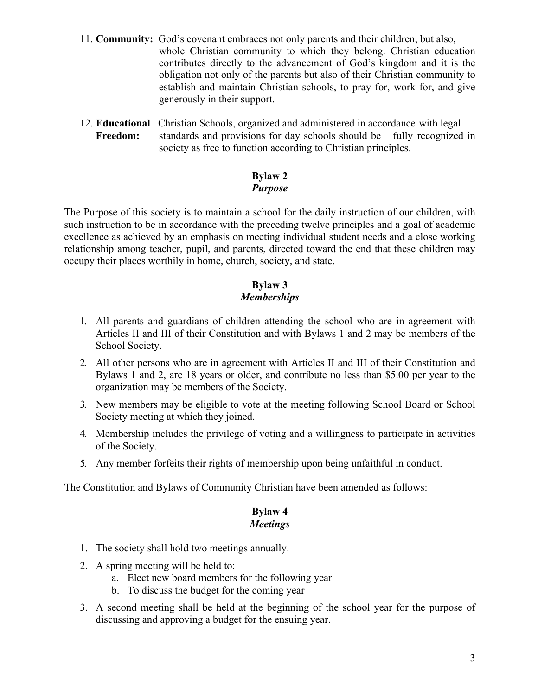- 11. **Community:** God's covenant embraces not only parents and their children, but also, whole Christian community to which they belong. Christian education contributes directly to the advancement of God's kingdom and it is the obligation not only of the parents but also of their Christian community to establish and maintain Christian schools, to pray for, work for, and give generously in their support.
- 12. **Educational** Christian Schools, organized and administered in accordance with legal **Freedom:** standards and provisions for day schools should be fully recognized in society as free to function according to Christian principles.

# **Bylaw 2** *Purpose*

The Purpose of this society is to maintain a school for the daily instruction of our children, with such instruction to be in accordance with the preceding twelve principles and a goal of academic excellence as achieved by an emphasis on meeting individual student needs and a close working relationship among teacher, pupil, and parents, directed toward the end that these children may occupy their places worthily in home, church, society, and state.

# **Bylaw 3** *Memberships*

- 1. All parents and guardians of children attending the school who are in agreement with Articles II and III of their Constitution and with Bylaws 1 and 2 may be members of the School Society.
- 2. All other persons who are in agreement with Articles II and III of their Constitution and Bylaws 1 and 2, are 18 years or older, and contribute no less than \$5.00 per year to the organization may be members of the Society.
- 3. New members may be eligible to vote at the meeting following School Board or School Society meeting at which they joined.
- 4. Membership includes the privilege of voting and a willingness to participate in activities of the Society.
- 5. Any member forfeits their rights of membership upon being unfaithful in conduct.

The Constitution and Bylaws of Community Christian have been amended as follows:

#### **Bylaw 4** *Meetings*

- 1. The society shall hold two meetings annually.
- 2. A spring meeting will be held to:
	- a. Elect new board members for the following year
	- b. To discuss the budget for the coming year
- 3. A second meeting shall be held at the beginning of the school year for the purpose of discussing and approving a budget for the ensuing year.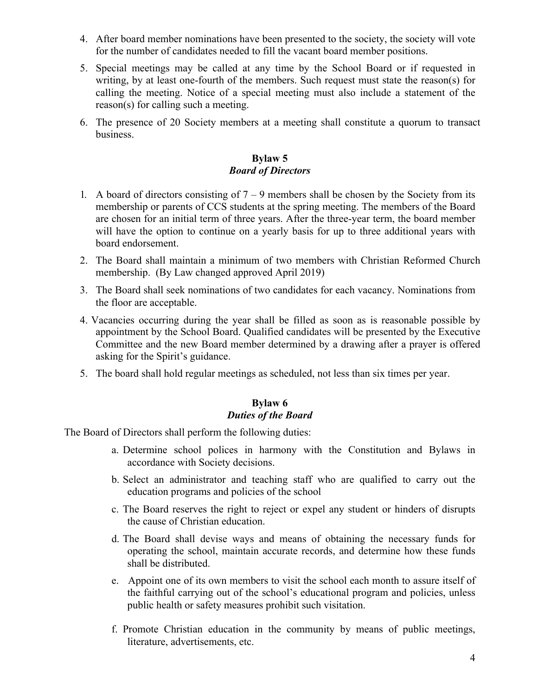- 4. After board member nominations have been presented to the society, the society will vote for the number of candidates needed to fill the vacant board member positions.
- 5. Special meetings may be called at any time by the School Board or if requested in writing, by at least one-fourth of the members. Such request must state the reason(s) for calling the meeting. Notice of a special meeting must also include a statement of the reason(s) for calling such a meeting.
- 6. The presence of 20 Society members at a meeting shall constitute a quorum to transact business.

# **Bylaw 5** *Board of Directors*

- 1. A board of directors consisting of  $7 9$  members shall be chosen by the Society from its membership or parents of CCS students at the spring meeting. The members of the Board are chosen for an initial term of three years. After the three-year term, the board member will have the option to continue on a yearly basis for up to three additional years with board endorsement.
- 2. The Board shall maintain a minimum of two members with Christian Reformed Church membership. (By Law changed approved April 2019)
- 3. The Board shall seek nominations of two candidates for each vacancy. Nominations from the floor are acceptable.
- 4. Vacancies occurring during the year shall be filled as soon as is reasonable possible by appointment by the School Board. Qualified candidates will be presented by the Executive Committee and the new Board member determined by a drawing after a prayer is offered asking for the Spirit's guidance.
- 5. The board shall hold regular meetings as scheduled, not less than six times per year.

## **Bylaw 6** *Duties of the Board*

The Board of Directors shall perform the following duties:

- a. Determine school polices in harmony with the Constitution and Bylaws in accordance with Society decisions.
- b. Select an administrator and teaching staff who are qualified to carry out the education programs and policies of the school
- c. The Board reserves the right to reject or expel any student or hinders of disrupts the cause of Christian education.
- d. The Board shall devise ways and means of obtaining the necessary funds for operating the school, maintain accurate records, and determine how these funds shall be distributed.
- e. Appoint one of its own members to visit the school each month to assure itself of the faithful carrying out of the school's educational program and policies, unless public health or safety measures prohibit such visitation.
- f. Promote Christian education in the community by means of public meetings, literature, advertisements, etc.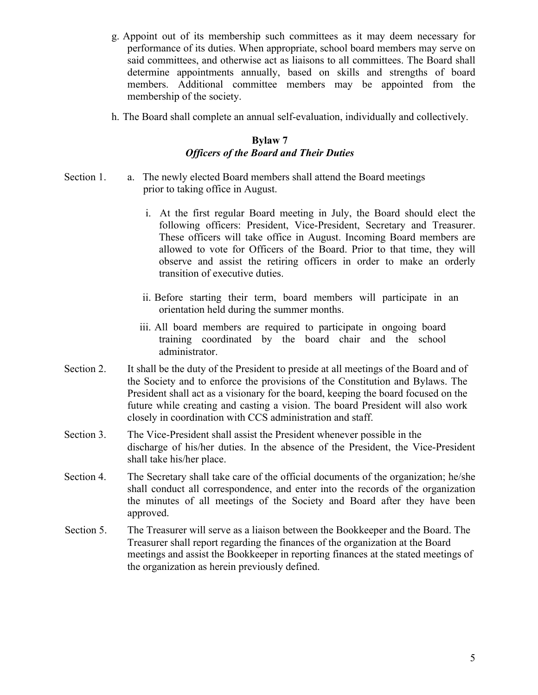- g. Appoint out of its membership such committees as it may deem necessary for performance of its duties. When appropriate, school board members may serve on said committees, and otherwise act as liaisons to all committees. The Board shall determine appointments annually, based on skills and strengths of board members. Additional committee members may be appointed from the membership of the society.
- h. The Board shall complete an annual self-evaluation, individually and collectively.

# **Bylaw 7** *Officers of the Board and Their Duties*

- Section 1. a. The newly elected Board members shall attend the Board meetings prior to taking office in August.
	- i. At the first regular Board meeting in July, the Board should elect the following officers: President, Vice-President, Secretary and Treasurer. These officers will take office in August. Incoming Board members are allowed to vote for Officers of the Board. Prior to that time, they will observe and assist the retiring officers in order to make an orderly transition of executive duties.
	- ii. Before starting their term, board members will participate in an orientation held during the summer months.
	- iii. All board members are required to participate in ongoing board training coordinated by the board chair and the school administrator.
- Section 2. It shall be the duty of the President to preside at all meetings of the Board and of the Society and to enforce the provisions of the Constitution and Bylaws. The President shall act as a visionary for the board, keeping the board focused on the future while creating and casting a vision. The board President will also work closely in coordination with CCS administration and staff.
- Section 3. The Vice-President shall assist the President whenever possible in the discharge of his/her duties. In the absence of the President, the Vice-President shall take his/her place.
- Section 4. The Secretary shall take care of the official documents of the organization; he/she shall conduct all correspondence, and enter into the records of the organization the minutes of all meetings of the Society and Board after they have been approved.
- Section 5. The Treasurer will serve as a liaison between the Bookkeeper and the Board. The Treasurer shall report regarding the finances of the organization at the Board meetings and assist the Bookkeeper in reporting finances at the stated meetings of the organization as herein previously defined.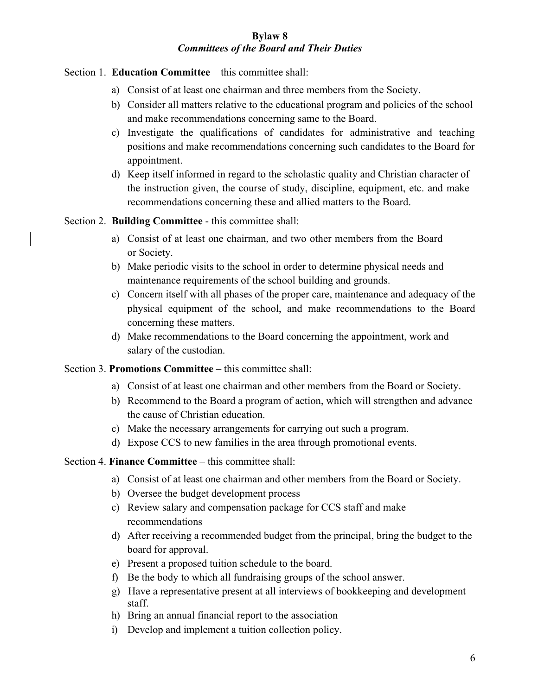# **Bylaw 8** *Committees of the Board and Their Duties*

Section 1. **Education Committee** – this committee shall:

- a) Consist of at least one chairman and three members from the Society.
- b) Consider all matters relative to the educational program and policies of the school and make recommendations concerning same to the Board.
- c) Investigate the qualifications of candidates for administrative and teaching positions and make recommendations concerning such candidates to the Board for appointment.
- d) Keep itself informed in regard to the scholastic quality and Christian character of the instruction given, the course of study, discipline, equipment, etc. and make recommendations concerning these and allied matters to the Board.

Section 2. **Building Committee** - this committee shall:

- a) Consist of at least one chairman, and two other members from the Board or Society.
- b) Make periodic visits to the school in order to determine physical needs and maintenance requirements of the school building and grounds.
- c) Concern itself with all phases of the proper care, maintenance and adequacy of the physical equipment of the school, and make recommendations to the Board concerning these matters.
- d) Make recommendations to the Board concerning the appointment, work and salary of the custodian.

Section 3. **Promotions Committee** – this committee shall:

- a) Consist of at least one chairman and other members from the Board or Society.
- b) Recommend to the Board a program of action, which will strengthen and advance the cause of Christian education.
- c) Make the necessary arrangements for carrying out such a program.
- d) Expose CCS to new families in the area through promotional events.

# Section 4. **Finance Committee** – this committee shall:

- a) Consist of at least one chairman and other members from the Board or Society.
- b) Oversee the budget development process
- c) Review salary and compensation package for CCS staff and make recommendations
- d) After receiving a recommended budget from the principal, bring the budget to the board for approval.
- e) Present a proposed tuition schedule to the board.
- f) Be the body to which all fundraising groups of the school answer.
- g) Have a representative present at all interviews of bookkeeping and development staff.
- h) Bring an annual financial report to the association
- i) Develop and implement a tuition collection policy.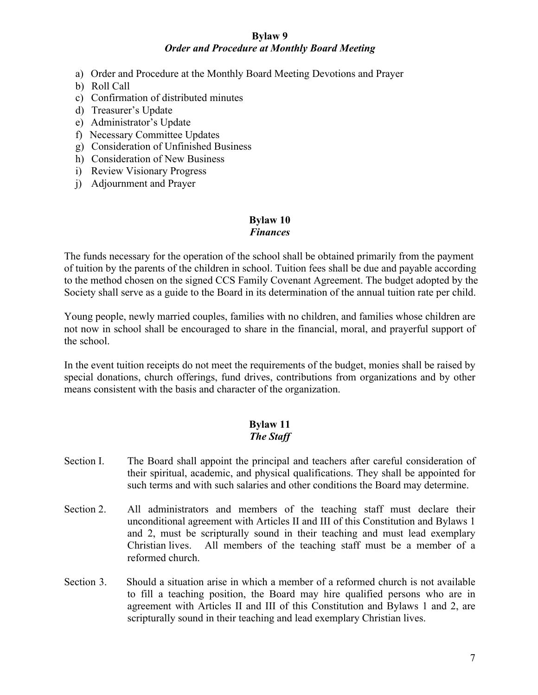#### **Bylaw 9** *Order and Procedure at Monthly Board Meeting*

- a) Order and Procedure at the Monthly Board Meeting Devotions and Prayer
- b) Roll Call
- c) Confirmation of distributed minutes
- d) Treasurer's Update
- e) Administrator's Update
- f) Necessary Committee Updates
- g) Consideration of Unfinished Business
- h) Consideration of New Business
- i) Review Visionary Progress
- j) Adjournment and Prayer

## **Bylaw 10** *Finances*

The funds necessary for the operation of the school shall be obtained primarily from the payment of tuition by the parents of the children in school. Tuition fees shall be due and payable according to the method chosen on the signed CCS Family Covenant Agreement. The budget adopted by the Society shall serve as a guide to the Board in its determination of the annual tuition rate per child.

Young people, newly married couples, families with no children, and families whose children are not now in school shall be encouraged to share in the financial, moral, and prayerful support of the school.

In the event tuition receipts do not meet the requirements of the budget, monies shall be raised by special donations, church offerings, fund drives, contributions from organizations and by other means consistent with the basis and character of the organization.

# **Bylaw 11** *The Staff*

- Section I. The Board shall appoint the principal and teachers after careful consideration of their spiritual, academic, and physical qualifications. They shall be appointed for such terms and with such salaries and other conditions the Board may determine.
- Section 2. All administrators and members of the teaching staff must declare their unconditional agreement with Articles II and III of this Constitution and Bylaws 1 and 2, must be scripturally sound in their teaching and must lead exemplary Christian lives. All members of the teaching staff must be a member of a reformed church.
- Section 3. Should a situation arise in which a member of a reformed church is not available to fill a teaching position, the Board may hire qualified persons who are in agreement with Articles II and III of this Constitution and Bylaws 1 and 2, are scripturally sound in their teaching and lead exemplary Christian lives.